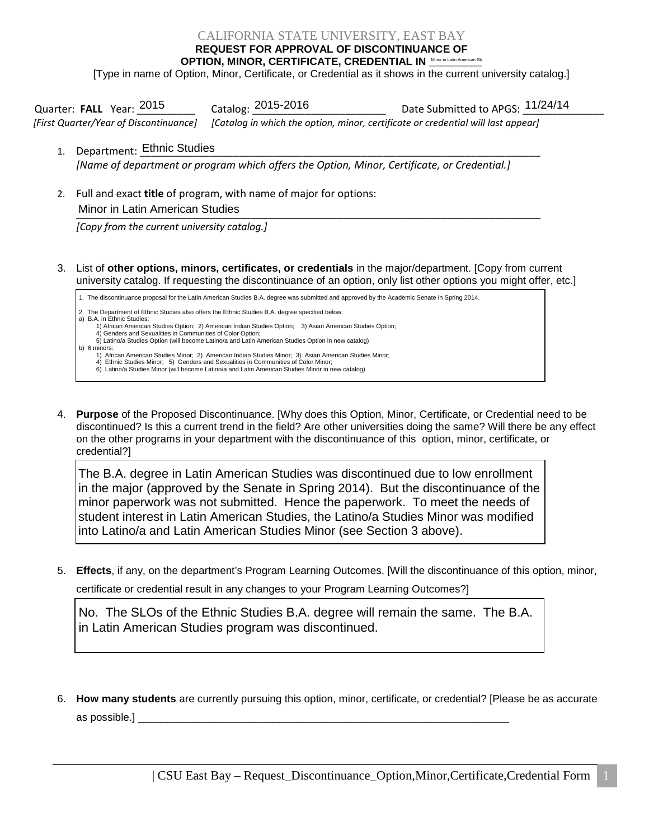## CALIFORNIA STATE UNIVERSITY, EAST BAY

**REQUEST FOR APPROVAL OF DISCONTINUANCE OF** 

OPTION, MINOR, CERTIFICATE, CREDENTIAL IN <u>Minor in Latin American Stu</u>

[Type in name of Option, Minor, Certificate, or Credential as it shows in the current university catalog.]

| Quarter: FALL Year: 2015 | Catalog: 2015-2016                                                                                                      | Date Submitted to APGS: 11/24/14 |
|--------------------------|-------------------------------------------------------------------------------------------------------------------------|----------------------------------|
|                          | [First Quarter/Year of Discontinuance] [Catalog in which the option, minor, certificate or credential will last appear] |                                  |

- 1. Department: Ethnic Studies *[Name of department or program which offers the Option, Minor, Certificate, or Credential.]*
- 2. Full and exact **title** of program, with name of major for options: \_\_\_\_\_\_\_\_\_\_\_\_\_\_\_\_\_\_\_\_\_\_\_\_\_\_\_\_\_\_\_\_\_\_\_\_\_\_\_\_\_\_\_\_\_\_\_\_\_\_\_\_\_\_\_\_\_\_\_\_\_\_\_\_\_\_\_\_\_\_\_\_\_\_\_\_\_\_\_\_ Minor in Latin American Studies

*[Copy from the current university catalog.]*

3. List of **other options, minors, certificates, or credentials** in the major/department. [Copy from current university catalog. If requesting the discontinuance of an option, only list other options you might offer, etc.]

1. The discontinuance proposal for the Latin American Studies B.A. degree was submitted and approved by the Academic Senate in Spring 2014.

2. The Department of Ethnic Studies also offers the Ethnic Studies B.A. degree specified below:

a) B.A. in Ethnic Studies: 1) African American Studies Option; 2) American Indian Studies Option; 3) Asian American Studies Option;

 4) Genders and Sexualities in Communities of Color Option; 5) Latino/a Studies Option (will become Latino/a and Latin American Studies Option in new catalog)

b) 6 minors: 1) African American Studies Minor; 2) American Indian Studies Minor; 3) Asian American Studies Minor;

4) Ethnic Studies Minor; 5) Genders and Sexualities in Communities of Color Minor;

6) Latino/a Studies Minor (will become Latino/a and Latin American Studies Minor in new catalog)

4. **Purpose** of the Proposed Discontinuance. [Why does this Option, Minor, Certificate, or Credential need to be discontinued? Is this a current trend in the field? Are other universities doing the same? Will there be any effect on the other programs in your department with the discontinuance of this option, minor, certificate, or credential?]

The B.A. degree in Latin American Studies was discontinued due to low enrollment in the major (approved by the Senate in Spring 2014). But the discontinuance of the minor paperwork was not submitted. Hence the paperwork. To meet the needs of student interest in Latin American Studies, the Latino/a Studies Minor was modified into Latino/a and Latin American Studies Minor (see Section 3 above).

5. **Effects**, if any, on the department's Program Learning Outcomes. [Will the discontinuance of this option, minor,

certificate or credential result in any changes to your Program Learning Outcomes?]

No. The SLOs of the Ethnic Studies B.A. degree will remain the same. The B.A. in Latin American Studies program was discontinued.

6. **How many students** are currently pursuing this option, minor, certificate, or credential? [Please be as accurate as possible.]